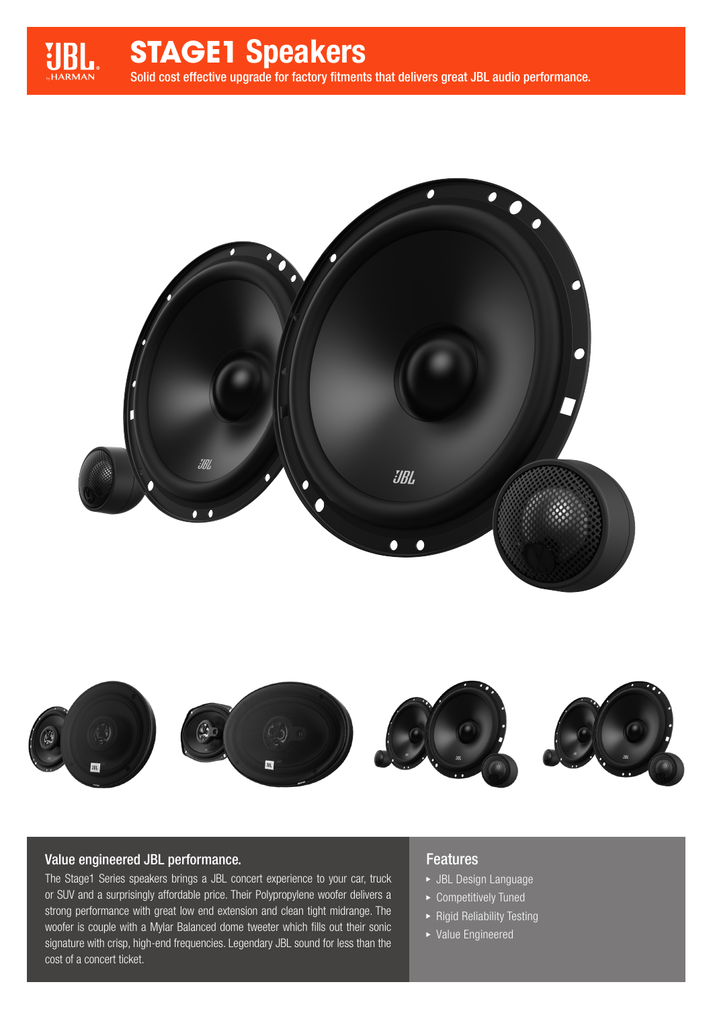

# **STAGE1** Speakers

Solid cost effective upgrade for factory fitments that delivers great JBL audio performance.





### Value engineered JBL performance.

The Stage1 Series speakers brings a JBL concert experience to your car, truck or SUV and a surprisingly affordable price. Their Polypropylene woofer delivers a strong performance with great low end extension and clean tight midrange. The woofer is couple with a Mylar Balanced dome tweeter which fills out their sonic signature with crisp, high-end frequencies. Legendary JBL sound for less than the cost of a concert ticket.

#### Features

- JBL Design Language
- ▶ Competitively Tuned
- $\blacktriangleright$  Rigid Reliability Testing
- Value Engineered